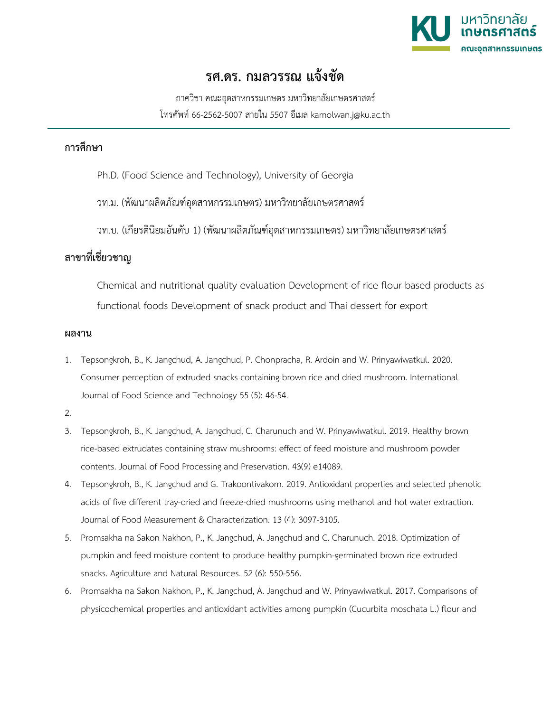

## **รศ.ดร. กมลวรรณ แจงชัด**

ภาควิชา คณะอุตสาหกรรมเกษตร มหาวิทยาลัยเกษตรศาสตร โทรศัพท 66-2562-5007 สายใน 5507 อีเมล kamolwan.j@ku.ac.th

## **การศึกษา**

- Ph.D. (Food Science and Technology), University of Georgia
- วท.ม. (พัฒนาผลิตภัณฑอุตสาหกรรมเกษตร) มหาวิทยาลัยเกษตรศาสตร
- วท.บ. (เกียรตินิยมอันดับ 1) (พัฒนาผลิตภัณฑอุตสาหกรรมเกษตร) มหาวิทยาลัยเกษตรศาสตร

## **สาขาที่เชี่ยวชาญ**

Chemical and nutritional quality evaluation Development of rice flour-based products as functional foods Development of snack product and Thai dessert for export

## **ผลงาน**

- 1. Tepsongkroh, B., K. Jangchud, A. Jangchud, P. Chonpracha, R. Ardoin and W. Prinyawiwatkul. 2020. Consumer perception of extruded snacks containing brown rice and dried mushroom. International Journal of Food Science and Technology 55 (5): 46-54.
- 2.
- 3. Tepsongkroh, B., K. Jangchud, A. Jangchud, C. Charunuch and W. Prinyawiwatkul. 2019. Healthy brown rice-based extrudates containing straw mushrooms: effect of feed moisture and mushroom powder contents. Journal of Food Processing and Preservation. 43(9) e14089.
- 4. Tepsongkroh, B., K. Jangchud and G. Trakoontivakorn. 2019. Antioxidant properties and selected phenolic acids of five different tray-dried and freeze-dried mushrooms using methanol and hot water extraction. Journal of Food Measurement & Characterization. 13 (4): 3097-3105.
- 5. Promsakha na Sakon Nakhon, P., K. Jangchud, A. Jangchud and C. Charunuch. 2018. Optimization of pumpkin and feed moisture content to produce healthy pumpkin-germinated brown rice extruded snacks. Agriculture and Natural Resources. 52 (6): 550-556.
- 6. Promsakha na Sakon Nakhon, P., K. Jangchud, A. Jangchud and W. Prinyawiwatkul. 2017. Comparisons of physicochemical properties and antioxidant activities among pumpkin (Cucurbita moschata L.) flour and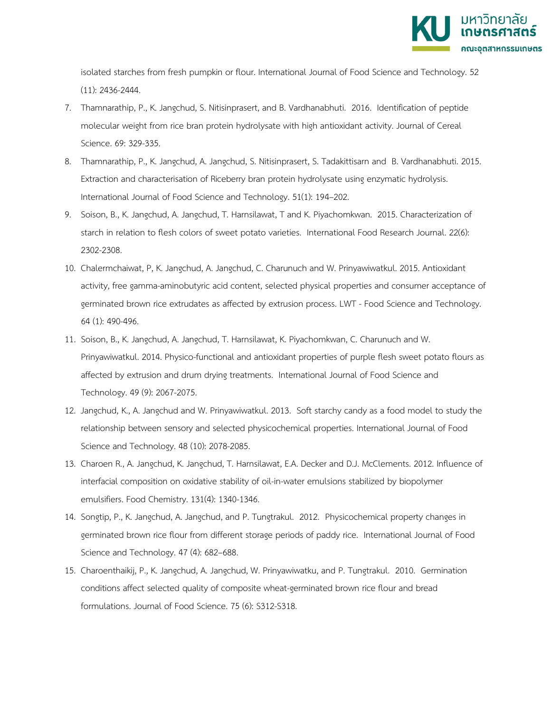

isolated starches from fresh pumpkin or flour. International Journal of Food Science and Technology. 52 (11): 2436-2444.

- 7. Thamnarathip, P., K. Jangchud, S. Nitisinprasert, and B. Vardhanabhuti. 2016. Identification of peptide molecular weight from rice bran protein hydrolysate with high antioxidant activity. Journal of Cereal Science. 69: 329-335.
- 8. Thamnarathip, P., K. Jangchud, A. Jangchud, S. Nitisinprasert, S. Tadakittisarn and B. Vardhanabhuti. 2015. Extraction and characterisation of Riceberry bran protein hydrolysate using enzymatic hydrolysis. International Journal of Food Science and Technology. 51(1): 194–202.
- 9. Soison, B., K. Jangchud, A. Jangchud, T. Harnsilawat, T and K. Piyachomkwan. 2015. Characterization of starch in relation to flesh colors of sweet potato varieties. International Food Research Journal. 22(6): 2302-2308.
- 10. Chalermchaiwat, P, K. Jangchud, A. Jangchud, C. Charunuch and W. Prinyawiwatkul. 2015. Antioxidant activity, free gamma-aminobutyric acid content, selected physical properties and consumer acceptance of germinated brown rice extrudates as affected by extrusion process. LWT - Food Science and Technology. 64 (1): 490-496.
- 11. Soison, B., K. Jangchud, A. Jangchud, T. Harnsilawat, K. Piyachomkwan, C. Charunuch and W. Prinyawiwatkul. 2014. Physico-functional and antioxidant properties of purple flesh sweet potato flours as affected by extrusion and drum drying treatments. International Journal of Food Science and Technology. 49 (9): 2067-2075.
- 12. Jangchud, K., A. Jangchud and W. Prinyawiwatkul. 2013. Soft starchy candy as a food model to study the relationship between sensory and selected physicochemical properties. International Journal of Food Science and Technology. 48 (10): 2078-2085.
- 13. Charoen R., A. Jangchud, K. Jangchud, T. Harnsilawat, E.A. Decker and D.J. McClements. 2012. Influence of interfacial composition on oxidative stability of oil-in-water emulsions stabilized by biopolymer emulsifiers. Food Chemistry. 131(4): 1340-1346.
- 14. Songtip, P., K. Jangchud, A. Jangchud, and P. Tungtrakul. 2012. Physicochemical property changes in germinated brown rice flour from different storage periods of paddy rice. International Journal of Food Science and Technology. 47 (4): 682–688.
- 15. Charoenthaikij, P., K. Jangchud, A. Jangchud, W. Prinyawiwatku, and P. Tungtrakul. 2010. Germination conditions affect selected quality of composite wheat-germinated brown rice flour and bread formulations. Journal of Food Science. 75 (6): S312-S318.